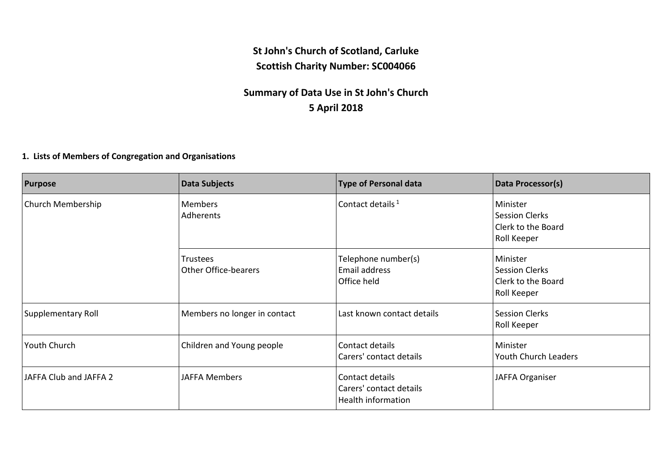## **St John's Church of Scotland, Carluke Scottish Charity Number: SC004066**

## **Summary of Data Use in St John's Church 5 April 2018**

## **1. Lists of Members of Congregation and Organisations**

| <b>Purpose</b>         | <b>Data Subjects</b>                    | <b>Type of Personal data</b>                                            | Data Processor(s)                                                             |
|------------------------|-----------------------------------------|-------------------------------------------------------------------------|-------------------------------------------------------------------------------|
| Church Membership      | Members<br>Adherents                    | Contact details <sup>1</sup>                                            | Minister<br><b>Session Clerks</b><br>Clerk to the Board<br>Roll Keeper        |
|                        | Trustees<br><b>Other Office-bearers</b> | Telephone number(s)<br>Email address<br>Office held                     | Minister<br><b>Session Clerks</b><br>Clerk to the Board<br><b>Roll Keeper</b> |
| Supplementary Roll     | Members no longer in contact            | Last known contact details                                              | <b>Session Clerks</b><br>Roll Keeper                                          |
| Youth Church           | Children and Young people               | Contact details<br>Carers' contact details                              | Minister<br>Youth Church Leaders                                              |
| JAFFA Club and JAFFA 2 | <b>JAFFA Members</b>                    | Contact details<br>Carers' contact details<br><b>Health information</b> | JAFFA Organiser                                                               |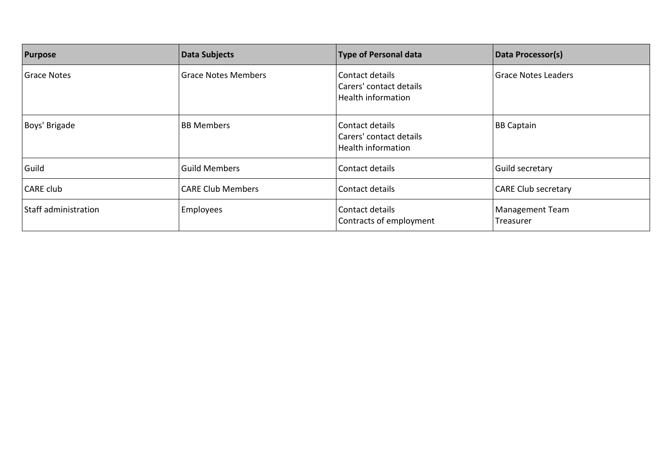| <b>Purpose</b>       | Data Subjects              | <b>Type of Personal data</b>                                     | Data Processor(s)            |
|----------------------|----------------------------|------------------------------------------------------------------|------------------------------|
| <b>Grace Notes</b>   | <b>Grace Notes Members</b> | Contact details<br>Carers' contact details<br>Health information | <b>Grace Notes Leaders</b>   |
| Boys' Brigade        | <b>BB Members</b>          | Contact details<br>Carers' contact details<br>Health information | <b>BB Captain</b>            |
| Guild                | <b>Guild Members</b>       | Contact details                                                  | Guild secretary              |
| <b>CARE club</b>     | <b>CARE Club Members</b>   | Contact details                                                  | <b>CARE Club secretary</b>   |
| Staff administration | Employees                  | Contact details<br>Contracts of employment                       | Management Team<br>Treasurer |